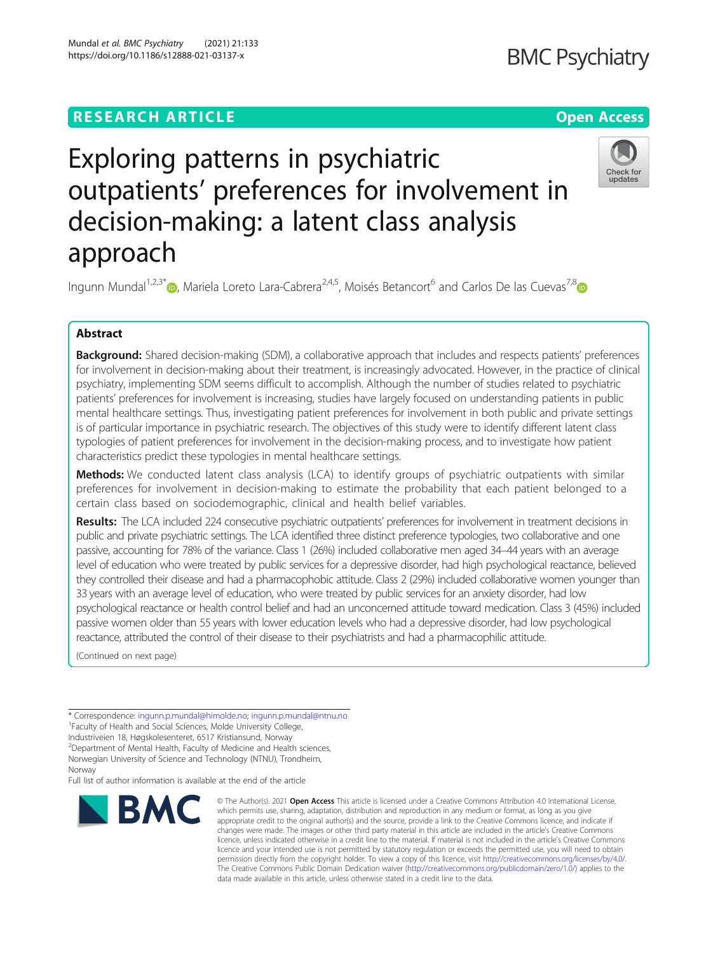# **RESEARCH ARTICLE Example 2014 12:30 The Contract of Contract ACCESS**

# **BMC Psychiatry**

# Check for updates

Exploring patterns in psychiatric outpatients' preferences for involvement in decision-making: a latent class analysis approach

Ingunn Mundal<sup>1,2,3[\\*](http://orcid.org/0000-0001-7716-7122)</sup> $\odot$ , Mariela Loreto Lara-Cabrera<sup>2,4,5</sup>, Moisés Betancort<sup>6</sup> and Carlos De las Cuevas<sup>7,8</sup> $\odot$ 

# Abstract

Background: Shared decision-making (SDM), a collaborative approach that includes and respects patients' preferences for involvement in decision-making about their treatment, is increasingly advocated. However, in the practice of clinical psychiatry, implementing SDM seems difficult to accomplish. Although the number of studies related to psychiatric patients' preferences for involvement is increasing, studies have largely focused on understanding patients in public mental healthcare settings. Thus, investigating patient preferences for involvement in both public and private settings is of particular importance in psychiatric research. The objectives of this study were to identify different latent class typologies of patient preferences for involvement in the decision-making process, and to investigate how patient characteristics predict these typologies in mental healthcare settings.

Methods: We conducted latent class analysis (LCA) to identify groups of psychiatric outpatients with similar preferences for involvement in decision-making to estimate the probability that each patient belonged to a certain class based on sociodemographic, clinical and health belief variables.

Results: The LCA included 224 consecutive psychiatric outpatients' preferences for involvement in treatment decisions in public and private psychiatric settings. The LCA identified three distinct preference typologies, two collaborative and one passive, accounting for 78% of the variance. Class 1 (26%) included collaborative men aged 34–44 years with an average level of education who were treated by public services for a depressive disorder, had high psychological reactance, believed they controlled their disease and had a pharmacophobic attitude. Class 2 (29%) included collaborative women younger than 33 years with an average level of education, who were treated by public services for an anxiety disorder, had low psychological reactance or health control belief and had an unconcerned attitude toward medication. Class 3 (45%) included passive women older than 55 years with lower education levels who had a depressive disorder, had low psychological reactance, attributed the control of their disease to their psychiatrists and had a pharmacophilic attitude.

(Continued on next page)

\* Correspondence: [ingunn.p.mundal@himolde.no](mailto:ingunn.p.mundal@himolde.no); [ingunn.p.mundal@ntnu.no](mailto:ingunn.p.mundal@ntnu.no) <sup>1</sup>

<sup>1</sup> Faculty of Health and Social Sciences, Molde University College,

Industriveien 18, Høgskolesenteret, 6517 Kristiansund, Norway

<sup>2</sup> Department of Mental Health, Faculty of Medicine and Health sciences,

Norwegian University of Science and Technology (NTNU), Trondheim,

Norway

Full list of author information is available at the end of the article



© The Author(s), 2021 **Open Access** This article is licensed under a Creative Commons Attribution 4.0 International License, which permits use, sharing, adaptation, distribution and reproduction in any medium or format, as long as you give appropriate credit to the original author(s) and the source, provide a link to the Creative Commons licence, and indicate if changes were made. The images or other third party material in this article are included in the article's Creative Commons licence, unless indicated otherwise in a credit line to the material. If material is not included in the article's Creative Commons licence and your intended use is not permitted by statutory regulation or exceeds the permitted use, you will need to obtain permission directly from the copyright holder. To view a copy of this licence, visit [http://creativecommons.org/licenses/by/4.0/.](http://creativecommons.org/licenses/by/4.0/) The Creative Commons Public Domain Dedication waiver [\(http://creativecommons.org/publicdomain/zero/1.0/](http://creativecommons.org/publicdomain/zero/1.0/)) applies to the data made available in this article, unless otherwise stated in a credit line to the data.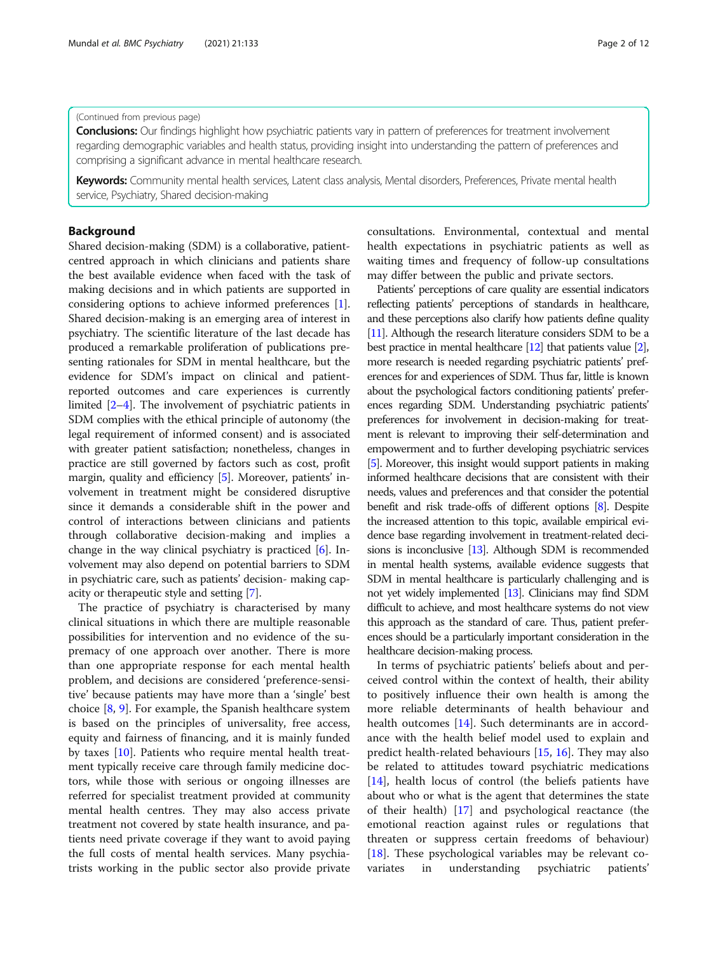# (Continued from previous page)

Conclusions: Our findings highlight how psychiatric patients vary in pattern of preferences for treatment involvement regarding demographic variables and health status, providing insight into understanding the pattern of preferences and comprising a significant advance in mental healthcare research.

Keywords: Community mental health services, Latent class analysis, Mental disorders, Preferences, Private mental health service, Psychiatry, Shared decision-making

# Background

Shared decision-making (SDM) is a collaborative, patientcentred approach in which clinicians and patients share the best available evidence when faced with the task of making decisions and in which patients are supported in considering options to achieve informed preferences [[1](#page-10-0)]. Shared decision-making is an emerging area of interest in psychiatry. The scientific literature of the last decade has produced a remarkable proliferation of publications presenting rationales for SDM in mental healthcare, but the evidence for SDM's impact on clinical and patientreported outcomes and care experiences is currently limited [[2](#page-10-0)–[4](#page-10-0)]. The involvement of psychiatric patients in SDM complies with the ethical principle of autonomy (the legal requirement of informed consent) and is associated with greater patient satisfaction; nonetheless, changes in practice are still governed by factors such as cost, profit margin, quality and efficiency [[5\]](#page-10-0). Moreover, patients' involvement in treatment might be considered disruptive since it demands a considerable shift in the power and control of interactions between clinicians and patients through collaborative decision-making and implies a change in the way clinical psychiatry is practiced [[6\]](#page-10-0). Involvement may also depend on potential barriers to SDM in psychiatric care, such as patients' decision- making capacity or therapeutic style and setting [\[7\]](#page-10-0).

The practice of psychiatry is characterised by many clinical situations in which there are multiple reasonable possibilities for intervention and no evidence of the supremacy of one approach over another. There is more than one appropriate response for each mental health problem, and decisions are considered 'preference-sensitive' because patients may have more than a 'single' best choice [[8,](#page-10-0) [9\]](#page-10-0). For example, the Spanish healthcare system is based on the principles of universality, free access, equity and fairness of financing, and it is mainly funded by taxes [[10](#page-10-0)]. Patients who require mental health treatment typically receive care through family medicine doctors, while those with serious or ongoing illnesses are referred for specialist treatment provided at community mental health centres. They may also access private treatment not covered by state health insurance, and patients need private coverage if they want to avoid paying the full costs of mental health services. Many psychiatrists working in the public sector also provide private consultations. Environmental, contextual and mental health expectations in psychiatric patients as well as waiting times and frequency of follow-up consultations may differ between the public and private sectors.

Patients' perceptions of care quality are essential indicators reflecting patients' perceptions of standards in healthcare, and these perceptions also clarify how patients define quality [[11\]](#page-10-0). Although the research literature considers SDM to be a best practice in mental healthcare [\[12](#page-10-0)] that patients value [\[2\]](#page-10-0), more research is needed regarding psychiatric patients' preferences for and experiences of SDM. Thus far, little is known about the psychological factors conditioning patients' preferences regarding SDM. Understanding psychiatric patients' preferences for involvement in decision-making for treatment is relevant to improving their self-determination and empowerment and to further developing psychiatric services [[5](#page-10-0)]. Moreover, this insight would support patients in making informed healthcare decisions that are consistent with their needs, values and preferences and that consider the potential benefit and risk trade-offs of different options [\[8\]](#page-10-0). Despite the increased attention to this topic, available empirical evidence base regarding involvement in treatment-related decisions is inconclusive [\[13](#page-10-0)]. Although SDM is recommended in mental health systems, available evidence suggests that SDM in mental healthcare is particularly challenging and is not yet widely implemented [\[13](#page-10-0)]. Clinicians may find SDM difficult to achieve, and most healthcare systems do not view this approach as the standard of care. Thus, patient preferences should be a particularly important consideration in the healthcare decision-making process.

In terms of psychiatric patients' beliefs about and perceived control within the context of health, their ability to positively influence their own health is among the more reliable determinants of health behaviour and health outcomes [[14\]](#page-10-0). Such determinants are in accordance with the health belief model used to explain and predict health-related behaviours [\[15,](#page-10-0) [16\]](#page-10-0). They may also be related to attitudes toward psychiatric medications [[14\]](#page-10-0), health locus of control (the beliefs patients have about who or what is the agent that determines the state of their health) [[17](#page-10-0)] and psychological reactance (the emotional reaction against rules or regulations that threaten or suppress certain freedoms of behaviour) [[18\]](#page-10-0). These psychological variables may be relevant covariates in understanding psychiatric patients'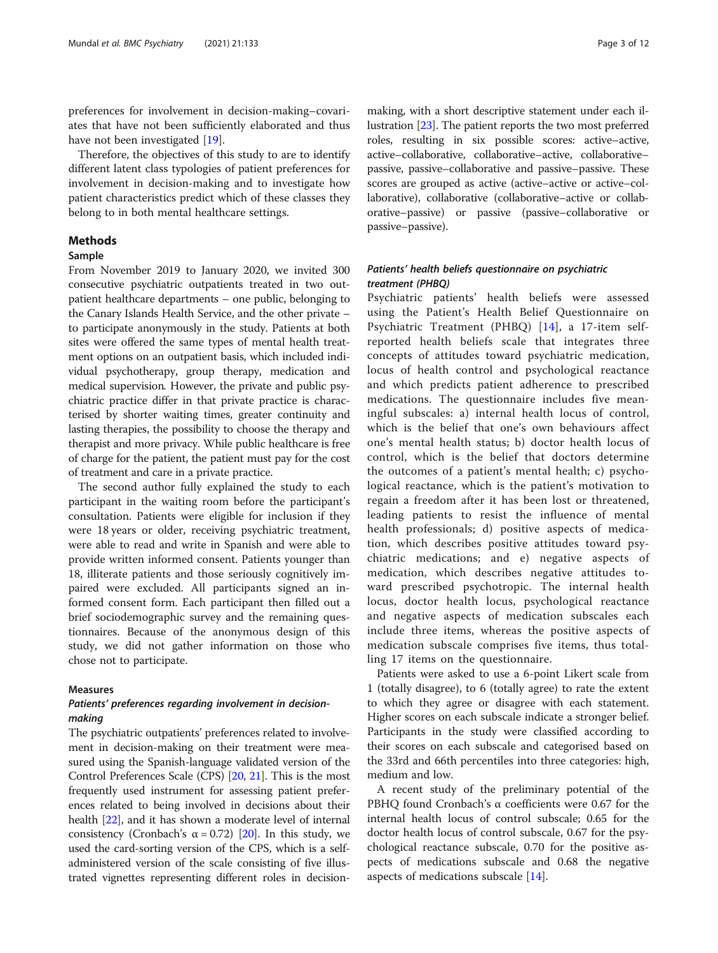preferences for involvement in decision-making–covariates that have not been sufficiently elaborated and thus have not been investigated [[19](#page-10-0)].

Therefore, the objectives of this study to are to identify different latent class typologies of patient preferences for involvement in decision-making and to investigate how patient characteristics predict which of these classes they belong to in both mental healthcare settings.

# Methods

# Sample

From November 2019 to January 2020, we invited 300 consecutive psychiatric outpatients treated in two outpatient healthcare departments – one public, belonging to the Canary Islands Health Service, and the other private – to participate anonymously in the study. Patients at both sites were offered the same types of mental health treatment options on an outpatient basis, which included individual psychotherapy, group therapy, medication and medical supervision. However, the private and public psychiatric practice differ in that private practice is characterised by shorter waiting times, greater continuity and lasting therapies, the possibility to choose the therapy and therapist and more privacy. While public healthcare is free of charge for the patient, the patient must pay for the cost of treatment and care in a private practice.

The second author fully explained the study to each participant in the waiting room before the participant's consultation. Patients were eligible for inclusion if they were 18 years or older, receiving psychiatric treatment, were able to read and write in Spanish and were able to provide written informed consent. Patients younger than 18, illiterate patients and those seriously cognitively impaired were excluded. All participants signed an informed consent form. Each participant then filled out a brief sociodemographic survey and the remaining questionnaires. Because of the anonymous design of this study, we did not gather information on those who chose not to participate.

# Measures

# Patients' preferences regarding involvement in decisionmaking

The psychiatric outpatients' preferences related to involvement in decision-making on their treatment were measured using the Spanish-language validated version of the Control Preferences Scale (CPS) [\[20,](#page-10-0) [21\]](#page-10-0). This is the most frequently used instrument for assessing patient preferences related to being involved in decisions about their health [[22](#page-10-0)], and it has shown a moderate level of internal consistency (Cronbach's  $\alpha = 0.72$ ) [\[20\]](#page-10-0). In this study, we used the card-sorting version of the CPS, which is a selfadministered version of the scale consisting of five illustrated vignettes representing different roles in decisionmaking, with a short descriptive statement under each illustration [[23](#page-10-0)]. The patient reports the two most preferred roles, resulting in six possible scores: active–active, active–collaborative, collaborative–active, collaborative– passive, passive–collaborative and passive–passive. These scores are grouped as active (active–active or active–collaborative), collaborative (collaborative–active or collaborative–passive) or passive (passive–collaborative or passive–passive).

# Patients' health beliefs questionnaire on psychiatric treatment (PHBQ)

Psychiatric patients' health beliefs were assessed using the Patient's Health Belief Questionnaire on Psychiatric Treatment (PHBQ) [\[14\]](#page-10-0), a 17-item selfreported health beliefs scale that integrates three concepts of attitudes toward psychiatric medication, locus of health control and psychological reactance and which predicts patient adherence to prescribed medications. The questionnaire includes five meaningful subscales: a) internal health locus of control, which is the belief that one's own behaviours affect one's mental health status; b) doctor health locus of control, which is the belief that doctors determine the outcomes of a patient's mental health; c) psychological reactance, which is the patient's motivation to regain a freedom after it has been lost or threatened, leading patients to resist the influence of mental health professionals; d) positive aspects of medication, which describes positive attitudes toward psychiatric medications; and e) negative aspects of medication, which describes negative attitudes toward prescribed psychotropic. The internal health locus, doctor health locus, psychological reactance and negative aspects of medication subscales each include three items, whereas the positive aspects of medication subscale comprises five items, thus totalling 17 items on the questionnaire.

Patients were asked to use a 6-point Likert scale from 1 (totally disagree), to 6 (totally agree) to rate the extent to which they agree or disagree with each statement. Higher scores on each subscale indicate a stronger belief. Participants in the study were classified according to their scores on each subscale and categorised based on the 33rd and 66th percentiles into three categories: high, medium and low.

A recent study of the preliminary potential of the PBHQ found Cronbach's α coefficients were 0.67 for the internal health locus of control subscale; 0.65 for the doctor health locus of control subscale, 0.67 for the psychological reactance subscale, 0.70 for the positive aspects of medications subscale and 0.68 the negative aspects of medications subscale [[14\]](#page-10-0).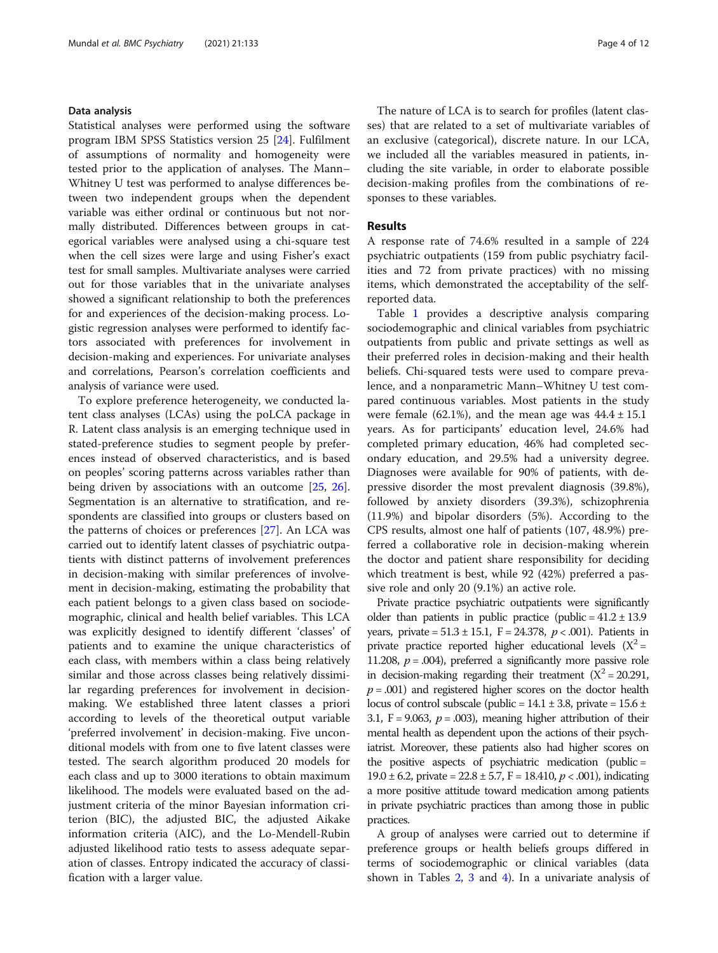# Data analysis

Statistical analyses were performed using the software program IBM SPSS Statistics version 25 [[24\]](#page-10-0). Fulfilment of assumptions of normality and homogeneity were tested prior to the application of analyses. The Mann– Whitney U test was performed to analyse differences between two independent groups when the dependent variable was either ordinal or continuous but not normally distributed. Differences between groups in categorical variables were analysed using a chi-square test when the cell sizes were large and using Fisher's exact test for small samples. Multivariate analyses were carried out for those variables that in the univariate analyses showed a significant relationship to both the preferences for and experiences of the decision-making process. Logistic regression analyses were performed to identify factors associated with preferences for involvement in decision-making and experiences. For univariate analyses and correlations, Pearson's correlation coefficients and analysis of variance were used.

To explore preference heterogeneity, we conducted latent class analyses (LCAs) using the poLCA package in R. Latent class analysis is an emerging technique used in stated-preference studies to segment people by preferences instead of observed characteristics, and is based on peoples' scoring patterns across variables rather than being driven by associations with an outcome [\[25](#page-10-0), [26](#page-10-0)]. Segmentation is an alternative to stratification, and respondents are classified into groups or clusters based on the patterns of choices or preferences [\[27\]](#page-10-0). An LCA was carried out to identify latent classes of psychiatric outpatients with distinct patterns of involvement preferences in decision-making with similar preferences of involvement in decision-making, estimating the probability that each patient belongs to a given class based on sociodemographic, clinical and health belief variables. This LCA was explicitly designed to identify different 'classes' of patients and to examine the unique characteristics of each class, with members within a class being relatively similar and those across classes being relatively dissimilar regarding preferences for involvement in decisionmaking. We established three latent classes a priori according to levels of the theoretical output variable 'preferred involvement' in decision-making. Five unconditional models with from one to five latent classes were tested. The search algorithm produced 20 models for each class and up to 3000 iterations to obtain maximum likelihood. The models were evaluated based on the adjustment criteria of the minor Bayesian information criterion (BIC), the adjusted BIC, the adjusted Aikake information criteria (AIC), and the Lo-Mendell-Rubin adjusted likelihood ratio tests to assess adequate separation of classes. Entropy indicated the accuracy of classification with a larger value.

The nature of LCA is to search for profiles (latent classes) that are related to a set of multivariate variables of an exclusive (categorical), discrete nature. In our LCA, we included all the variables measured in patients, including the site variable, in order to elaborate possible decision-making profiles from the combinations of responses to these variables.

# Results

A response rate of 74.6% resulted in a sample of 224 psychiatric outpatients (159 from public psychiatry facilities and 72 from private practices) with no missing items, which demonstrated the acceptability of the selfreported data.

Table [1](#page-4-0) provides a descriptive analysis comparing sociodemographic and clinical variables from psychiatric outpatients from public and private settings as well as their preferred roles in decision-making and their health beliefs. Chi-squared tests were used to compare prevalence, and a nonparametric Mann–Whitney U test compared continuous variables. Most patients in the study were female  $(62.1\%)$ , and the mean age was  $44.4 \pm 15.1$ years. As for participants' education level, 24.6% had completed primary education, 46% had completed secondary education, and 29.5% had a university degree. Diagnoses were available for 90% of patients, with depressive disorder the most prevalent diagnosis (39.8%), followed by anxiety disorders (39.3%), schizophrenia (11.9%) and bipolar disorders (5%). According to the CPS results, almost one half of patients (107, 48.9%) preferred a collaborative role in decision-making wherein the doctor and patient share responsibility for deciding which treatment is best, while 92 (42%) preferred a passive role and only 20 (9.1%) an active role.

Private practice psychiatric outpatients were significantly older than patients in public practice (public =  $41.2 \pm 13.9$ years, private =  $51.3 \pm 15.1$ , F = 24.378,  $p < .001$ ). Patients in private practice reported higher educational levels  $(X^2 =$ 11.208,  $p = .004$ ), preferred a significantly more passive role in decision-making regarding their treatment  $(X^2 = 20.291,$  $p = .001$ ) and registered higher scores on the doctor health locus of control subscale (public =  $14.1 \pm 3.8$ , private =  $15.6 \pm$ 3.1, F = 9.063,  $p = .003$ ), meaning higher attribution of their mental health as dependent upon the actions of their psychiatrist. Moreover, these patients also had higher scores on the positive aspects of psychiatric medication (public = 19.0  $\pm$  6.2, private = 22.8  $\pm$  5.7, F = 18.410,  $p$  < .001), indicating a more positive attitude toward medication among patients in private psychiatric practices than among those in public practices.

A group of analyses were carried out to determine if preference groups or health beliefs groups differed in terms of sociodemographic or clinical variables (data shown in Tables [2](#page-4-0), [3](#page-5-0) and [4\)](#page-5-0). In a univariate analysis of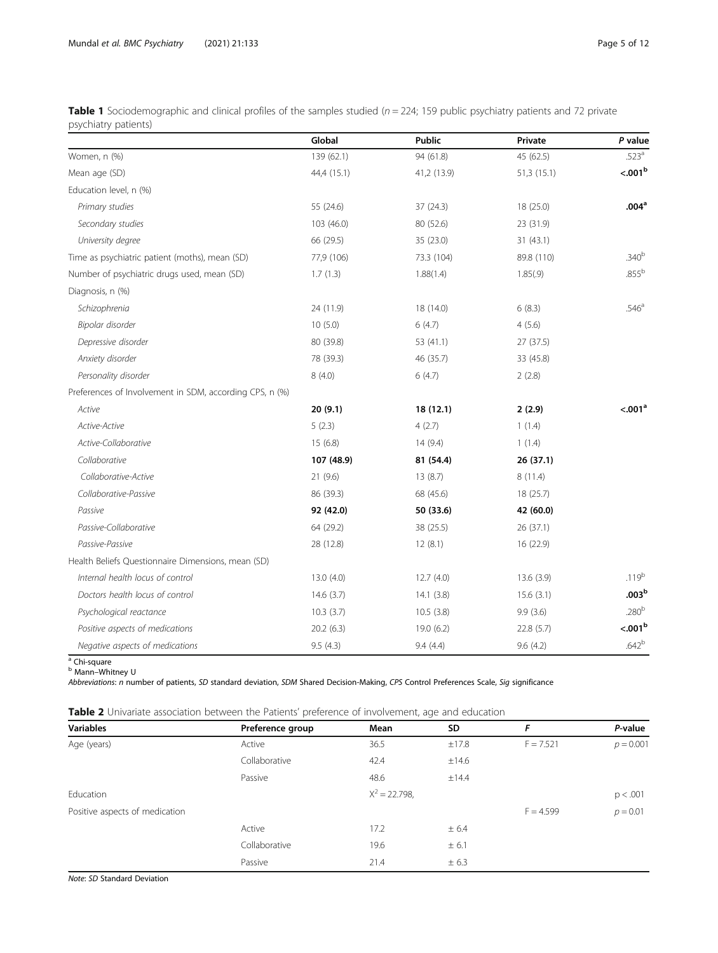|                                                         | Global      | <b>Public</b> | Private    | P value             |
|---------------------------------------------------------|-------------|---------------|------------|---------------------|
| Women, n (%)                                            | 139 (62.1)  | 94 (61.8)     | 45 (62.5)  | .523 <sup>a</sup>   |
| Mean age (SD)                                           | 44,4 (15.1) | 41,2 (13.9)   | 51,3(15.1) | < 0.01 <sup>b</sup> |
| Education level, n (%)                                  |             |               |            |                     |
| Primary studies                                         | 55 (24.6)   | 37 (24.3)     | 18 (25.0)  | .004 <sup>a</sup>   |
| Secondary studies                                       | 103 (46.0)  | 80 (52.6)     | 23 (31.9)  |                     |
| University degree                                       | 66 (29.5)   | 35 (23.0)     | 31(43.1)   |                     |
| Time as psychiatric patient (moths), mean (SD)          | 77,9 (106)  | 73.3 (104)    | 89.8 (110) | .340 <sup>b</sup>   |
| Number of psychiatric drugs used, mean (SD)             | 1.7(1.3)    | 1.88(1.4)     | 1.85(.9)   | .855 <sup>b</sup>   |
| Diagnosis, n (%)                                        |             |               |            |                     |
| Schizophrenia                                           | 24 (11.9)   | 18 (14.0)     | 6(8.3)     | .546 <sup>a</sup>   |
| Bipolar disorder                                        | 10(5.0)     | 6(4.7)        | 4(5.6)     |                     |
| Depressive disorder                                     | 80 (39.8)   | 53 (41.1)     | 27 (37.5)  |                     |
| Anxiety disorder                                        | 78 (39.3)   | 46 (35.7)     | 33 (45.8)  |                     |
| Personality disorder                                    | 8(4.0)      | 6(4.7)        | 2(2.8)     |                     |
| Preferences of Involvement in SDM, according CPS, n (%) |             |               |            |                     |
| Active                                                  | 20(9.1)     | 18(12.1)      | 2(2.9)     | < 0.01 <sup>a</sup> |
| Active-Active                                           | 5(2.3)      | 4(2.7)        | 1(1.4)     |                     |
| Active-Collaborative                                    | 15(6.8)     | 14(9.4)       | 1(1.4)     |                     |
| Collaborative                                           | 107 (48.9)  | 81 (54.4)     | 26(37.1)   |                     |
| Collaborative-Active                                    | 21(9.6)     | 13(8.7)       | 8(11.4)    |                     |
| Collaborative-Passive                                   | 86 (39.3)   | 68 (45.6)     | 18(25.7)   |                     |
| Passive                                                 | 92 (42.0)   | 50 (33.6)     | 42 (60.0)  |                     |
| Passive-Collaborative                                   | 64 (29.2)   | 38 (25.5)     | 26 (37.1)  |                     |
| Passive-Passive                                         | 28 (12.8)   | 12(8.1)       | 16 (22.9)  |                     |
| Health Beliefs Questionnaire Dimensions, mean (SD)      |             |               |            |                     |
| Internal health locus of control                        | 13.0(4.0)   | 12.7(4.0)     | 13.6(3.9)  | $.119^{b}$          |
| Doctors health locus of control                         | 14.6(3.7)   | 14.1(3.8)     | 15.6(3.1)  | $003^{\rm b}$       |
| Psychological reactance                                 | 10.3(3.7)   | 10.5(3.8)     | 9.9(3.6)   | .280 <sup>b</sup>   |
| Positive aspects of medications                         | 20.2(6.3)   | 19.0 (6.2)    | 22.8(5.7)  | $<0.01b$            |
| Negative aspects of medications                         | 9.5(4.3)    | 9.4(4.4)      | 9.6(4.2)   | $.642^{b}$          |

<span id="page-4-0"></span>Table 1 Sociodemographic and clinical profiles of the samples studied ( $n = 224$ ; 159 public psychiatry patients and 72 private psychiatry patients)

<sup>a</sup> Chi-square <sup>b</sup> Mann–Whitney U

Abbreviations: n number of patients, SD standard deviation, SDM Shared Decision-Making, CPS Control Preferences Scale, Sig significance

Table 2 Univariate association between the Patients' preference of involvement, age and education

| <b>Variables</b>               | Preference group | Mean           | SD    | F           | P-value     |
|--------------------------------|------------------|----------------|-------|-------------|-------------|
| Age (years)                    | Active           | 36.5           | ±17.8 | $F = 7.521$ | $p = 0.001$ |
|                                | Collaborative    | 42.4           | ±14.6 |             |             |
|                                | Passive          | 48.6           | ±14.4 |             |             |
| Education                      |                  | $X^2 = 22.798$ |       |             | p < .001    |
| Positive aspects of medication |                  |                |       | $F = 4.599$ | $p = 0.01$  |
|                                | Active           | 17.2           | ± 6.4 |             |             |
|                                | Collaborative    | 19.6           | ± 6.1 |             |             |
|                                | Passive          | 21.4           | ± 6.3 |             |             |

Note: SD Standard Deviation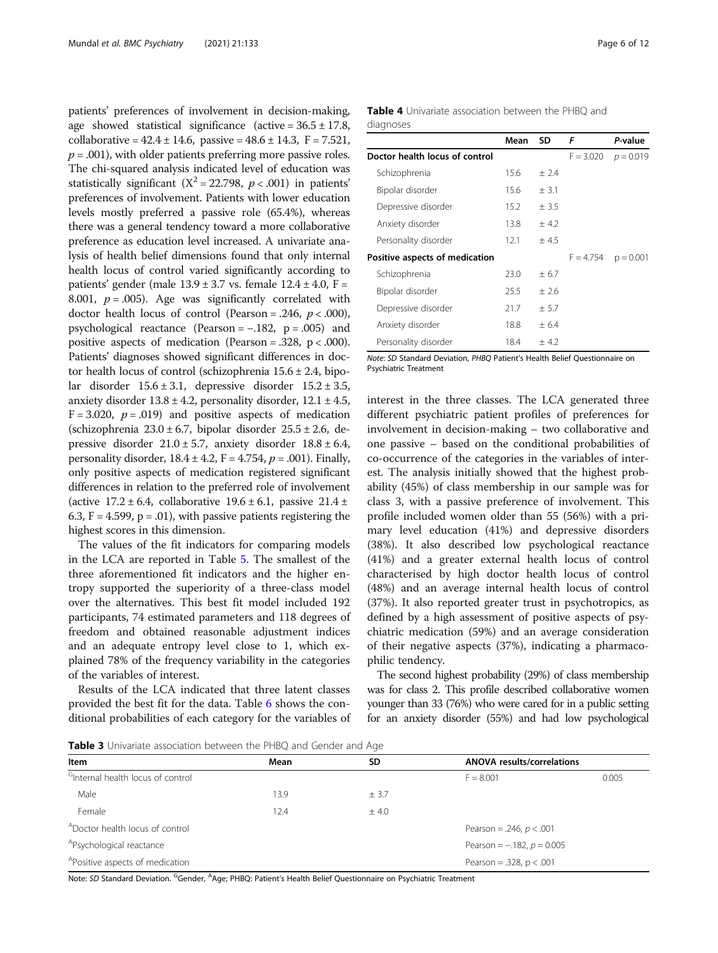<span id="page-5-0"></span>patients' preferences of involvement in decision-making, age showed statistical significance (active =  $36.5 \pm 17.8$ , collaborative =  $42.4 \pm 14.6$ , passive =  $48.6 \pm 14.3$ , F =  $7.521$ ,  $p = .001$ ), with older patients preferring more passive roles. The chi-squared analysis indicated level of education was statistically significant ( $X^2 = 22.798$ ,  $p < .001$ ) in patients' preferences of involvement. Patients with lower education levels mostly preferred a passive role (65.4%), whereas there was a general tendency toward a more collaborative preference as education level increased. A univariate analysis of health belief dimensions found that only internal health locus of control varied significantly according to patients' gender (male  $13.9 \pm 3.7$  vs. female  $12.4 \pm 4.0$ , F = 8.001,  $p = .005$ ). Age was significantly correlated with doctor health locus of control (Pearson = .246,  $p < .000$ ), psychological reactance (Pearson = −.182, p = .005) and positive aspects of medication (Pearson = .328,  $p < .000$ ). Patients' diagnoses showed significant differences in doctor health locus of control (schizophrenia  $15.6 \pm 2.4$ , bipolar disorder  $15.6 \pm 3.1$ , depressive disorder  $15.2 \pm 3.5$ , anxiety disorder  $13.8 \pm 4.2$ , personality disorder,  $12.1 \pm 4.5$ ,  $F = 3.020$ ,  $p = .019$ ) and positive aspects of medication (schizophrenia  $23.0 \pm 6.7$ , bipolar disorder  $25.5 \pm 2.6$ , depressive disorder  $21.0 \pm 5.7$ , anxiety disorder  $18.8 \pm 6.4$ , personality disorder,  $18.4 \pm 4.2$ ,  $F = 4.754$ ,  $p = .001$ ). Finally, only positive aspects of medication registered significant differences in relation to the preferred role of involvement (active  $17.2 \pm 6.4$ , collaborative  $19.6 \pm 6.1$ , passive  $21.4 \pm 1.6$ 6.3,  $F = 4.599$ ,  $p = .01$ ), with passive patients registering the highest scores in this dimension.

The values of the fit indicators for comparing models in the LCA are reported in Table [5](#page-6-0). The smallest of the three aforementioned fit indicators and the higher entropy supported the superiority of a three-class model over the alternatives. This best fit model included 192 participants, 74 estimated parameters and 118 degrees of freedom and obtained reasonable adjustment indices and an adequate entropy level close to 1, which explained 78% of the frequency variability in the categories of the variables of interest.

Results of the LCA indicated that three latent classes provided the best fit for the data. Table [6](#page-7-0) shows the conditional probabilities of each category for the variables of Table 4 Univariate association between the PHBQ and diagnoses

|                                | Mean | SD     | F           | P-value     |
|--------------------------------|------|--------|-------------|-------------|
| Doctor health locus of control |      |        | $F = 3.020$ | $p = 0.019$ |
| Schizophrenia                  | 15.6 | ± 2.4  |             |             |
| Bipolar disorder               | 15.6 | $+3.1$ |             |             |
| Depressive disorder            | 15.2 | ± 3.5  |             |             |
| Anxiety disorder               | 13.8 | ± 4.2  |             |             |
| Personality disorder           | 12.1 | ±4.5   |             |             |
| Positive aspects of medication |      |        | $F = 4.754$ | $p = 0.001$ |
| Schizophrenia                  | 23.0 | $+6.7$ |             |             |
| Bipolar disorder               | 25.5 | $+2.6$ |             |             |
| Depressive disorder            | 21.7 | $+5.7$ |             |             |
| Anxiety disorder               | 18.8 | $+6.4$ |             |             |
| Personality disorder           | 18.4 | ± 4.2  |             |             |

Note: SD Standard Deviation, PHBQ Patient's Health Belief Questionnaire on Psychiatric Treatment

interest in the three classes. The LCA generated three different psychiatric patient profiles of preferences for involvement in decision-making – two collaborative and one passive – based on the conditional probabilities of co-occurrence of the categories in the variables of interest. The analysis initially showed that the highest probability (45%) of class membership in our sample was for class 3, with a passive preference of involvement. This profile included women older than 55 (56%) with a primary level education (41%) and depressive disorders (38%). It also described low psychological reactance (41%) and a greater external health locus of control characterised by high doctor health locus of control (48%) and an average internal health locus of control (37%). It also reported greater trust in psychotropics, as defined by a high assessment of positive aspects of psychiatric medication (59%) and an average consideration of their negative aspects (37%), indicating a pharmacophilic tendency.

The second highest probability (29%) of class membership was for class 2. This profile described collaborative women younger than 33 (76%) who were cared for in a public setting for an anxiety disorder (55%) and had low psychological

**Table 3** Univariate association between the PHBQ and Gender and Age

| Item                                          | Mean | SD.                             | <b>ANOVA results/correlations</b> |       |  |
|-----------------------------------------------|------|---------------------------------|-----------------------------------|-------|--|
| <sup>G</sup> Internal health locus of control |      |                                 | $F = 8.001$                       | 0.005 |  |
| Male                                          | 13.9 | ± 3.7                           |                                   |       |  |
| Female                                        | 12.4 | ± 4.0                           |                                   |       |  |
| <sup>A</sup> Doctor health locus of control   |      |                                 | Pearson = .246, $p < .001$        |       |  |
| <sup>A</sup> Psychological reactance          |      | Pearson = $-.182$ , $p = 0.005$ |                                   |       |  |
| <sup>A</sup> Positive aspects of medication   |      |                                 | Pearson = .328, $p < .001$        |       |  |

Note: *SD* Standard Deviation. <sup>G</sup>Gender, <sup>A</sup>Age; PHBQ: Patient's Health Belief Questionnaire on Psychiatric Treatment<br>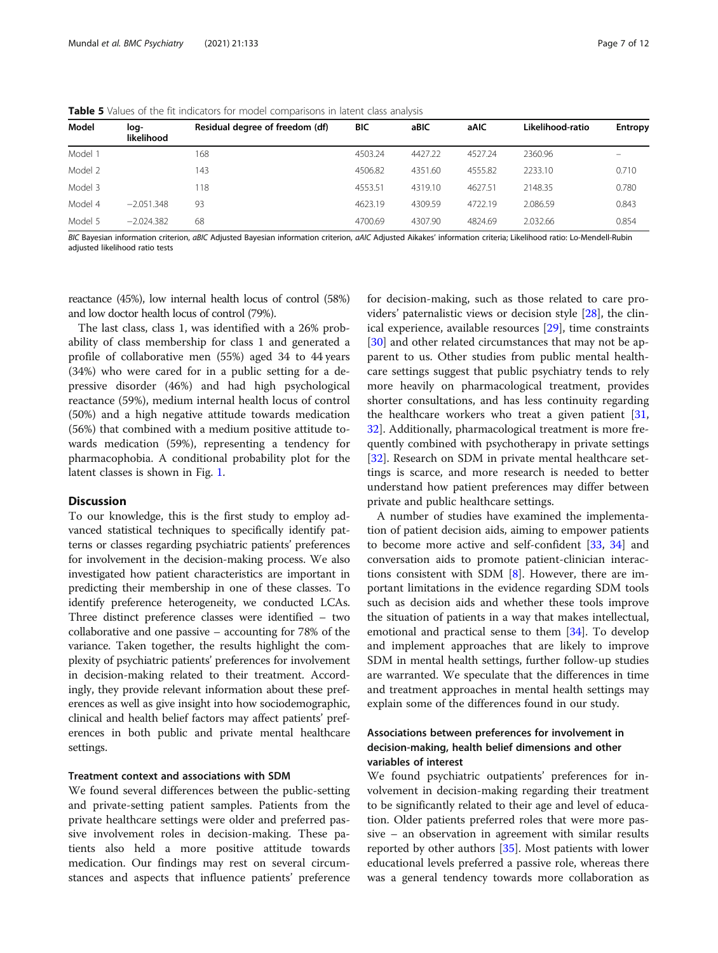| Model   | log-<br>likelihood | Residual degree of freedom (df) | <b>BIC</b> | aBIC    | aAIC    | Likelihood-ratio | <b>Entropy</b>    |
|---------|--------------------|---------------------------------|------------|---------|---------|------------------|-------------------|
| Model 1 |                    | 168                             | 4503.24    | 4427.22 | 4527.24 | 2360.96          | $\qquad \qquad -$ |
| Model 2 |                    | 143                             | 4506.82    | 4351.60 | 4555.82 | 2233.10          | 0.710             |
| Model 3 |                    | 118                             | 4553.51    | 4319.10 | 4627.51 | 2148.35          | 0.780             |
| Model 4 | $-2.051.348$       | 93                              | 4623.19    | 4309.59 | 4722.19 | 2.086.59         | 0.843             |
| Model 5 | $-2.024.382$       | 68                              | 4700.69    | 4307.90 | 4824.69 | 2.032.66         | 0.854             |

<span id="page-6-0"></span>Table 5 Values of the fit indicators for model comparisons in latent class analysis

BIC Bayesian information criterion, aBIC Adjusted Bayesian information criterion, aAIC Adjusted Aikakes' information criteria; Likelihood ratio: Lo-Mendell-Rubin adjusted likelihood ratio tests

reactance (45%), low internal health locus of control (58%) and low doctor health locus of control (79%).

The last class, class 1, was identified with a 26% probability of class membership for class 1 and generated a profile of collaborative men (55%) aged 34 to 44 years (34%) who were cared for in a public setting for a depressive disorder (46%) and had high psychological reactance (59%), medium internal health locus of control (50%) and a high negative attitude towards medication (56%) that combined with a medium positive attitude towards medication (59%), representing a tendency for pharmacophobia. A conditional probability plot for the latent classes is shown in Fig. [1.](#page-8-0)

### **Discussion**

To our knowledge, this is the first study to employ advanced statistical techniques to specifically identify patterns or classes regarding psychiatric patients' preferences for involvement in the decision-making process. We also investigated how patient characteristics are important in predicting their membership in one of these classes. To identify preference heterogeneity, we conducted LCAs. Three distinct preference classes were identified – two collaborative and one passive – accounting for 78% of the variance. Taken together, the results highlight the complexity of psychiatric patients' preferences for involvement in decision-making related to their treatment. Accordingly, they provide relevant information about these preferences as well as give insight into how sociodemographic, clinical and health belief factors may affect patients' preferences in both public and private mental healthcare settings.

# Treatment context and associations with SDM

We found several differences between the public-setting and private-setting patient samples. Patients from the private healthcare settings were older and preferred passive involvement roles in decision-making. These patients also held a more positive attitude towards medication. Our findings may rest on several circumstances and aspects that influence patients' preference for decision-making, such as those related to care providers' paternalistic views or decision style [[28](#page-10-0)], the clinical experience, available resources [[29\]](#page-10-0), time constraints [[30\]](#page-10-0) and other related circumstances that may not be apparent to us. Other studies from public mental healthcare settings suggest that public psychiatry tends to rely more heavily on pharmacological treatment, provides shorter consultations, and has less continuity regarding the healthcare workers who treat a given patient [[31](#page-10-0), [32\]](#page-10-0). Additionally, pharmacological treatment is more frequently combined with psychotherapy in private settings [[32\]](#page-10-0). Research on SDM in private mental healthcare settings is scarce, and more research is needed to better understand how patient preferences may differ between private and public healthcare settings.

A number of studies have examined the implementation of patient decision aids, aiming to empower patients to become more active and self-confident [[33,](#page-10-0) [34\]](#page-10-0) and conversation aids to promote patient-clinician interactions consistent with SDM [\[8](#page-10-0)]. However, there are important limitations in the evidence regarding SDM tools such as decision aids and whether these tools improve the situation of patients in a way that makes intellectual, emotional and practical sense to them [[34\]](#page-10-0). To develop and implement approaches that are likely to improve SDM in mental health settings, further follow-up studies are warranted. We speculate that the differences in time and treatment approaches in mental health settings may explain some of the differences found in our study.

# Associations between preferences for involvement in decision-making, health belief dimensions and other variables of interest

We found psychiatric outpatients' preferences for involvement in decision-making regarding their treatment to be significantly related to their age and level of education. Older patients preferred roles that were more passive – an observation in agreement with similar results reported by other authors [\[35](#page-10-0)]. Most patients with lower educational levels preferred a passive role, whereas there was a general tendency towards more collaboration as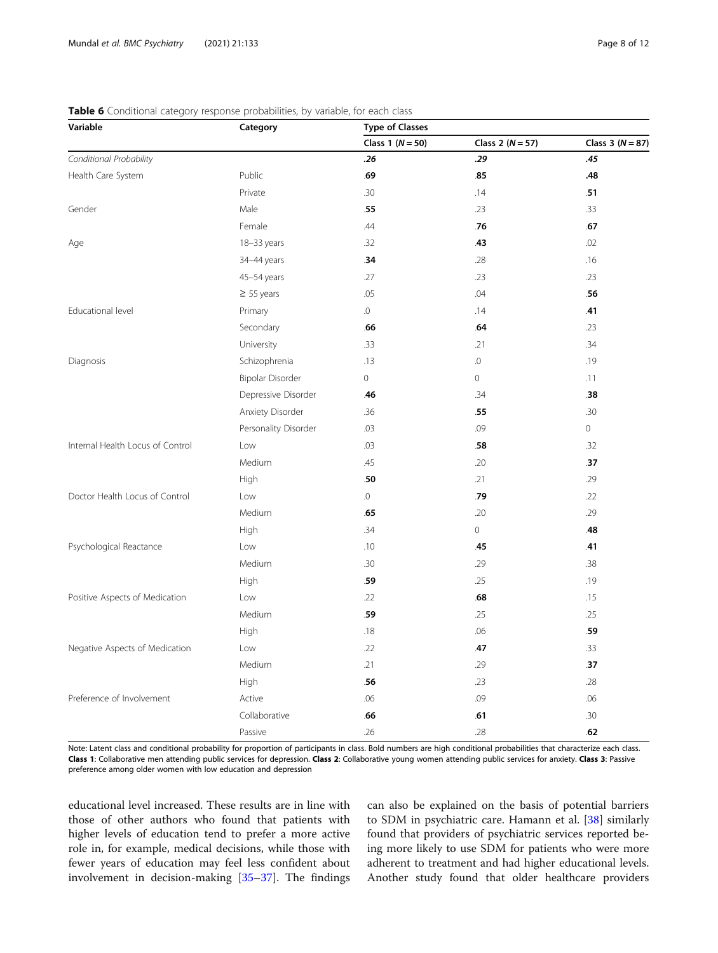| Variable                         | Category             | <b>Type of Classes</b> |                      |                      |  |  |
|----------------------------------|----------------------|------------------------|----------------------|----------------------|--|--|
|                                  |                      | Class 1 $(N = 50)$     | Class 2 ( $N = 57$ ) | Class 3 ( $N = 87$ ) |  |  |
| Conditional Probability          |                      | .26                    | .29                  | .45                  |  |  |
| Health Care System               | Public               | .69                    | .85                  | .48                  |  |  |
|                                  | Private              | .30                    | .14                  | .51                  |  |  |
| Gender                           | Male                 | .55                    | .23                  | .33                  |  |  |
|                                  | Female               | .44                    | .76                  | .67                  |  |  |
| Age                              | 18-33 years          | .32                    | .43                  | .02                  |  |  |
|                                  | 34-44 years          | .34                    | .28                  | .16                  |  |  |
|                                  | 45-54 years          | .27                    | .23                  | .23                  |  |  |
|                                  | $\geq$ 55 years      | .05                    | .04                  | .56                  |  |  |
| Educational level                | Primary              | $\Omega$ .             | .14                  | .41                  |  |  |
|                                  | Secondary            | .66                    | .64                  | .23                  |  |  |
|                                  | University           | .33                    | .21                  | .34                  |  |  |
| Diagnosis                        | Schizophrenia        | .13                    | $\Omega$ .           | .19                  |  |  |
|                                  | Bipolar Disorder     | 0                      | $\circ$              | .11                  |  |  |
|                                  | Depressive Disorder  | .46                    | .34                  | .38                  |  |  |
|                                  | Anxiety Disorder     | .36                    | .55                  | .30                  |  |  |
|                                  | Personality Disorder | .03                    | .09                  | $\circ$              |  |  |
| Internal Health Locus of Control | Low                  | .03                    | .58                  | .32                  |  |  |
|                                  | Medium               | .45                    | .20                  | .37                  |  |  |
|                                  | High                 | .50                    | .21                  | .29                  |  |  |
| Doctor Health Locus of Control   | Low                  | $\Omega$               | .79                  | .22                  |  |  |
|                                  | Medium               | .65                    | .20                  | .29                  |  |  |
|                                  | High                 | .34                    | $\mathsf{O}\xspace$  | .48                  |  |  |
| Psychological Reactance          | Low                  | .10                    | .45                  | .41                  |  |  |
|                                  | Medium               | .30                    | .29                  | .38                  |  |  |
|                                  | High                 | .59                    | .25                  | .19                  |  |  |
| Positive Aspects of Medication   | Low                  | .22                    | .68                  | .15                  |  |  |
|                                  | Medium               | .59                    | .25                  | .25                  |  |  |
|                                  | High                 | .18                    | .06                  | .59                  |  |  |
| Negative Aspects of Medication   | Low                  | .22                    | .47                  | .33                  |  |  |
|                                  | Medium               | .21                    | .29                  | .37                  |  |  |
|                                  | High                 | .56                    | .23                  | .28                  |  |  |
| Preference of Involvement        | Active               | .06                    | .09                  | .06                  |  |  |
|                                  | Collaborative        | .66                    | .61                  | .30                  |  |  |
|                                  | Passive              | .26                    | .28                  | .62                  |  |  |

## <span id="page-7-0"></span>Table 6 Conditional category response probabilities, by variable, for each class

Note: Latent class and conditional probability for proportion of participants in class. Bold numbers are high conditional probabilities that characterize each class. Class 1: Collaborative men attending public services for depression. Class 2: Collaborative young women attending public services for anxiety. Class 3: Passive preference among older women with low education and depression

educational level increased. These results are in line with those of other authors who found that patients with higher levels of education tend to prefer a more active role in, for example, medical decisions, while those with fewer years of education may feel less confident about involvement in decision-making [[35](#page-10-0)–[37](#page-10-0)]. The findings

can also be explained on the basis of potential barriers to SDM in psychiatric care. Hamann et al. [[38](#page-10-0)] similarly found that providers of psychiatric services reported being more likely to use SDM for patients who were more adherent to treatment and had higher educational levels. Another study found that older healthcare providers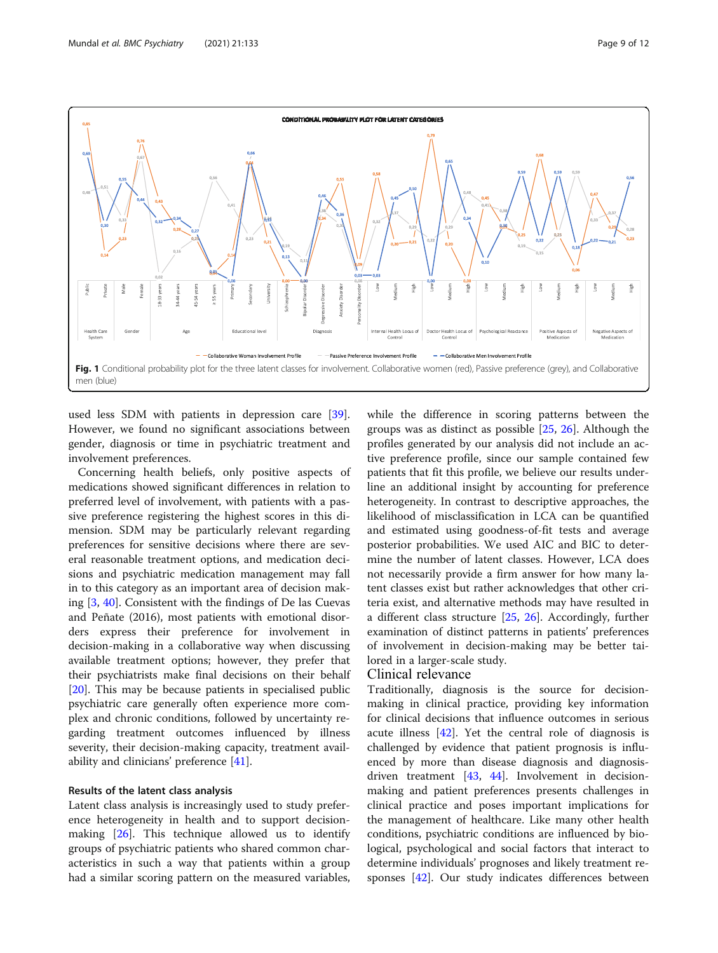<span id="page-8-0"></span>

used less SDM with patients in depression care [\[39](#page-10-0)]. However, we found no significant associations between gender, diagnosis or time in psychiatric treatment and involvement preferences.

Concerning health beliefs, only positive aspects of medications showed significant differences in relation to preferred level of involvement, with patients with a passive preference registering the highest scores in this dimension. SDM may be particularly relevant regarding preferences for sensitive decisions where there are several reasonable treatment options, and medication decisions and psychiatric medication management may fall in to this category as an important area of decision making [[3](#page-10-0), [40](#page-10-0)]. Consistent with the findings of De las Cuevas and Peñate (2016), most patients with emotional disorders express their preference for involvement in decision-making in a collaborative way when discussing available treatment options; however, they prefer that their psychiatrists make final decisions on their behalf [[20\]](#page-10-0). This may be because patients in specialised public psychiatric care generally often experience more complex and chronic conditions, followed by uncertainty regarding treatment outcomes influenced by illness severity, their decision-making capacity, treatment availability and clinicians' preference [\[41](#page-10-0)].

# Results of the latent class analysis

Latent class analysis is increasingly used to study preference heterogeneity in health and to support decisionmaking [[26\]](#page-10-0). This technique allowed us to identify groups of psychiatric patients who shared common characteristics in such a way that patients within a group had a similar scoring pattern on the measured variables, while the difference in scoring patterns between the groups was as distinct as possible [\[25,](#page-10-0) [26](#page-10-0)]. Although the profiles generated by our analysis did not include an active preference profile, since our sample contained few patients that fit this profile, we believe our results underline an additional insight by accounting for preference heterogeneity. In contrast to descriptive approaches, the likelihood of misclassification in LCA can be quantified and estimated using goodness-of-fit tests and average posterior probabilities. We used AIC and BIC to determine the number of latent classes. However, LCA does not necessarily provide a firm answer for how many latent classes exist but rather acknowledges that other criteria exist, and alternative methods may have resulted in a different class structure [\[25,](#page-10-0) [26](#page-10-0)]. Accordingly, further examination of distinct patterns in patients' preferences of involvement in decision-making may be better tailored in a larger-scale study.

# Clinical relevance

Traditionally, diagnosis is the source for decisionmaking in clinical practice, providing key information for clinical decisions that influence outcomes in serious acute illness [[42\]](#page-11-0). Yet the central role of diagnosis is challenged by evidence that patient prognosis is influenced by more than disease diagnosis and diagnosisdriven treatment [[43](#page-11-0), [44](#page-11-0)]. Involvement in decisionmaking and patient preferences presents challenges in clinical practice and poses important implications for the management of healthcare. Like many other health conditions, psychiatric conditions are influenced by biological, psychological and social factors that interact to determine individuals' prognoses and likely treatment responses [[42\]](#page-11-0). Our study indicates differences between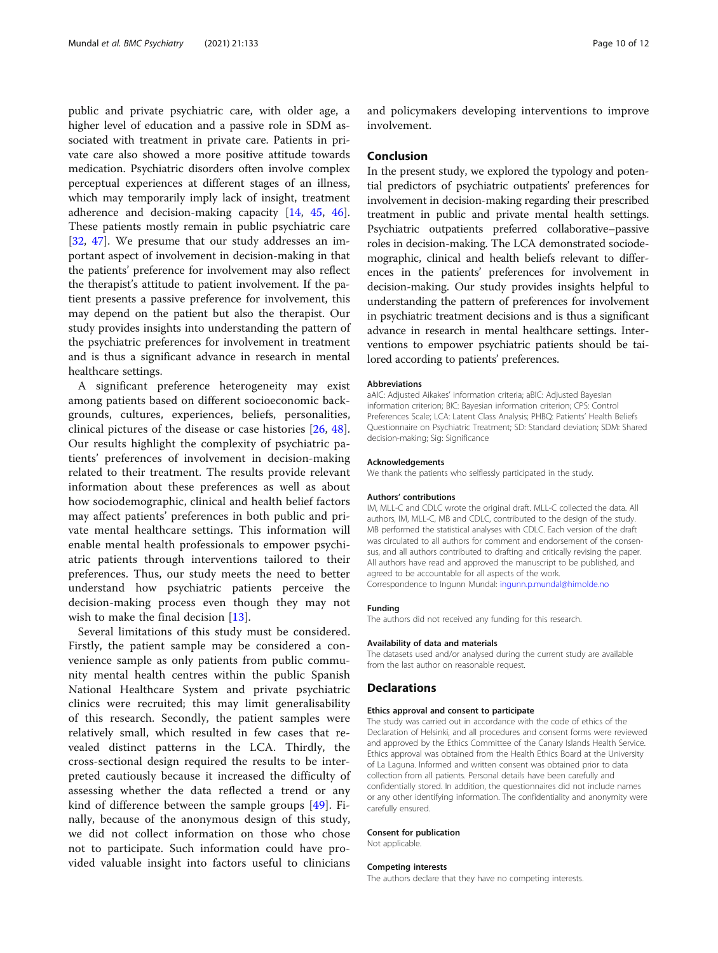public and private psychiatric care, with older age, a higher level of education and a passive role in SDM associated with treatment in private care. Patients in private care also showed a more positive attitude towards medication. Psychiatric disorders often involve complex perceptual experiences at different stages of an illness, which may temporarily imply lack of insight, treatment adherence and decision-making capacity [[14,](#page-10-0) [45](#page-11-0), [46](#page-11-0)]. These patients mostly remain in public psychiatric care [[32,](#page-10-0) [47](#page-11-0)]. We presume that our study addresses an important aspect of involvement in decision-making in that the patients' preference for involvement may also reflect the therapist's attitude to patient involvement. If the patient presents a passive preference for involvement, this may depend on the patient but also the therapist. Our study provides insights into understanding the pattern of the psychiatric preferences for involvement in treatment and is thus a significant advance in research in mental healthcare settings.

A significant preference heterogeneity may exist among patients based on different socioeconomic backgrounds, cultures, experiences, beliefs, personalities, clinical pictures of the disease or case histories [[26,](#page-10-0) [48](#page-11-0)]. Our results highlight the complexity of psychiatric patients' preferences of involvement in decision-making related to their treatment. The results provide relevant information about these preferences as well as about how sociodemographic, clinical and health belief factors may affect patients' preferences in both public and private mental healthcare settings. This information will enable mental health professionals to empower psychiatric patients through interventions tailored to their preferences. Thus, our study meets the need to better understand how psychiatric patients perceive the decision-making process even though they may not wish to make the final decision [[13\]](#page-10-0).

Several limitations of this study must be considered. Firstly, the patient sample may be considered a convenience sample as only patients from public community mental health centres within the public Spanish National Healthcare System and private psychiatric clinics were recruited; this may limit generalisability of this research. Secondly, the patient samples were relatively small, which resulted in few cases that revealed distinct patterns in the LCA. Thirdly, the cross-sectional design required the results to be interpreted cautiously because it increased the difficulty of assessing whether the data reflected a trend or any kind of difference between the sample groups [[49\]](#page-11-0). Finally, because of the anonymous design of this study, we did not collect information on those who chose not to participate. Such information could have provided valuable insight into factors useful to clinicians

and policymakers developing interventions to improve involvement.

# Conclusion

In the present study, we explored the typology and potential predictors of psychiatric outpatients' preferences for involvement in decision-making regarding their prescribed treatment in public and private mental health settings. Psychiatric outpatients preferred collaborative–passive roles in decision-making. The LCA demonstrated sociodemographic, clinical and health beliefs relevant to differences in the patients' preferences for involvement in decision-making. Our study provides insights helpful to understanding the pattern of preferences for involvement in psychiatric treatment decisions and is thus a significant advance in research in mental healthcare settings. Interventions to empower psychiatric patients should be tailored according to patients' preferences.

#### Abbreviations

aAIC: Adjusted Aikakes' information criteria; aBIC: Adjusted Bayesian information criterion; BIC: Bayesian information criterion; CPS: Control Preferences Scale; LCA: Latent Class Analysis; PHBQ: Patients' Health Beliefs Questionnaire on Psychiatric Treatment; SD: Standard deviation; SDM: Shared decision-making; Sig: Significance

#### Acknowledgements

We thank the patients who selflessly participated in the study.

#### Authors' contributions

IM, MLL-C and CDLC wrote the original draft. MLL-C collected the data. All authors, IM, MLL-C, MB and CDLC, contributed to the design of the study. MB performed the statistical analyses with CDLC. Each version of the draft was circulated to all authors for comment and endorsement of the consensus, and all authors contributed to drafting and critically revising the paper. All authors have read and approved the manuscript to be published, and agreed to be accountable for all aspects of the work. Correspondence to Ingunn Mundal: [ingunn.p.mundal@himolde.no](mailto:ingunn.p.mundal@himolde.no)

### Funding

The authors did not received any funding for this research.

#### Availability of data and materials

The datasets used and/or analysed during the current study are available from the last author on reasonable request.

# **Declarations**

#### Ethics approval and consent to participate

The study was carried out in accordance with the code of ethics of the Declaration of Helsinki, and all procedures and consent forms were reviewed and approved by the Ethics Committee of the Canary Islands Health Service. Ethics approval was obtained from the Health Ethics Board at the University of La Laguna. Informed and written consent was obtained prior to data collection from all patients. Personal details have been carefully and confidentially stored. In addition, the questionnaires did not include names or any other identifying information. The confidentiality and anonymity were carefully ensured.

# Consent for publication

Not applicable.

#### Competing interests

The authors declare that they have no competing interests.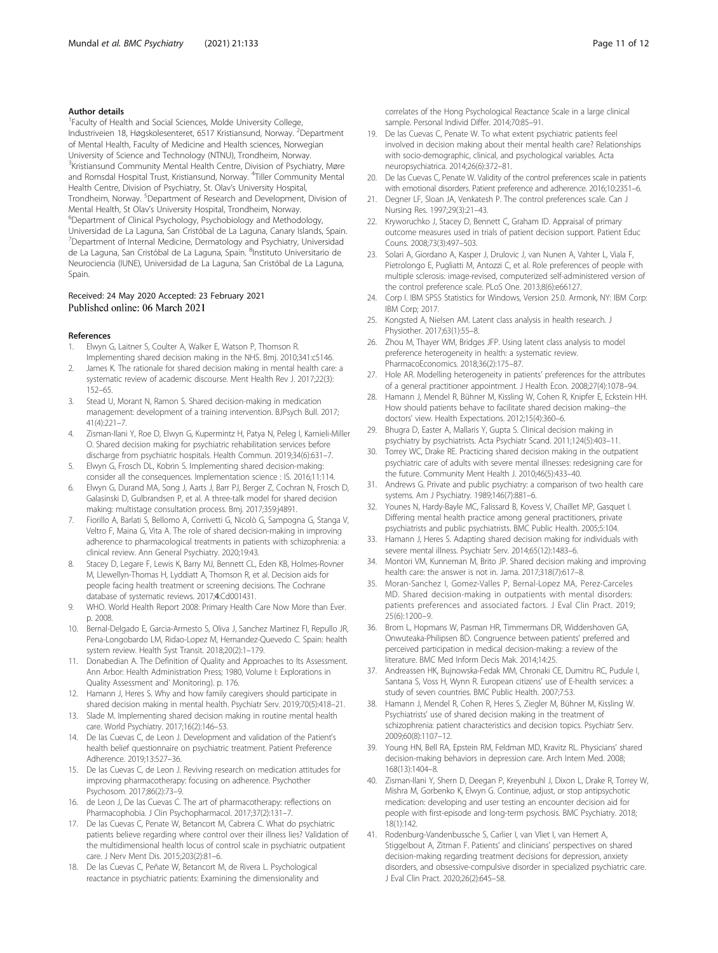# <span id="page-10-0"></span>Author details

<sup>1</sup> Faculty of Health and Social Sciences, Molde University College, Industriveien 18, Høgskolesenteret, 6517 Kristiansund, Norway. <sup>2</sup>Department of Mental Health, Faculty of Medicine and Health sciences, Norwegian University of Science and Technology (NTNU), Trondheim, Norway. <sup>3</sup>Kristiansund Community Mental Health Centre, Division of Psychiatry, Møre and Romsdal Hospital Trust, Kristiansund, Norway. <sup>4</sup> Tiller Community Mental Health Centre, Division of Psychiatry, St. Olav's University Hospital, Trondheim, Norway. <sup>5</sup>Department of Research and Development, Division of Mental Health, St Olav's University Hospital, Trondheim, Norway. <sup>6</sup> Department of Clinical Psychology, Psychobiology and Methodology, Universidad de La Laguna, San Cristóbal de La Laguna, Canary Islands, Spain. <sup>7</sup>Department of Internal Medicine, Dermatology and Psychiatry, Universidad de La Laguna, San Cristóbal de La Laguna, Spain. <sup>8</sup>Instituto Universitario de Neurociencia (IUNE), Universidad de La Laguna, San Cristóbal de La Laguna, Spain.

# Received: 24 May 2020 Accepted: 23 February 2021 Published online: 06 March 2021

#### References

- 1. Elwyn G, Laitner S, Coulter A, Walker E, Watson P, Thomson R. Implementing shared decision making in the NHS. Bmj. 2010;341:c5146.
- James K. The rationale for shared decision making in mental health care: a systematic review of academic discourse. Ment Health Rev J. 2017;22(3): 152–65.
- 3. Stead U, Morant N, Ramon S. Shared decision-making in medication management: development of a training intervention. BJPsych Bull. 2017; 41(4):221–7.
- 4. Zisman-Ilani Y, Roe D, Elwyn G, Kupermintz H, Patya N, Peleg I, Karnieli-Miller O. Shared decision making for psychiatric rehabilitation services before discharge from psychiatric hospitals. Health Commun. 2019;34(6):631–7.
- 5. Elwyn G, Frosch DL, Kobrin S. Implementing shared decision-making: consider all the consequences. Implementation science : IS. 2016;11:114.
- 6. Elwyn G, Durand MA, Song J, Aarts J, Barr PJ, Berger Z, Cochran N, Frosch D, Galasinski D, Gulbrandsen P, et al. A three-talk model for shared decision making: multistage consultation process. Bmj. 2017;359:j4891.
- 7. Fiorillo A, Barlati S, Bellomo A, Corrivetti G, Nicolò G, Sampogna G, Stanga V, Veltro F, Maina G, Vita A. The role of shared decision-making in improving adherence to pharmacological treatments in patients with schizophrenia: a clinical review. Ann General Psychiatry. 2020;19:43.
- 8. Stacey D, Legare F, Lewis K, Barry MJ, Bennett CL, Eden KB, Holmes-Rovner M, Llewellyn-Thomas H, Lyddiatt A, Thomson R, et al. Decision aids for people facing health treatment or screening decisions. The Cochrane database of systematic reviews. 2017;4:Cd001431.
- WHO. World Health Report 2008: Primary Health Care Now More than Ever. p. 2008.
- 10. Bernal-Delgado E, Garcia-Armesto S, Oliva J, Sanchez Martinez FI, Repullo JR, Pena-Longobardo LM, Ridao-Lopez M, Hernandez-Quevedo C. Spain: health system review. Health Syst Transit. 2018;20(2):1–179.
- 11. Donabedian A. The Definition of Quality and Approaches to Its Assessment. Ann Arbor: Health Administration Press; 1980, Volume I: Explorations in Quality Assessment and' Monitoring). p. 176.
- 12. Hamann J, Heres S. Why and how family caregivers should participate in shared decision making in mental health. Psychiatr Serv. 2019;70(5):418–21.
- 13. Slade M. Implementing shared decision making in routine mental health care. World Psychiatry. 2017;16(2):146–53.
- 14. De las Cuevas C, de Leon J. Development and validation of the Patient's health belief questionnaire on psychiatric treatment. Patient Preference Adherence. 2019;13:527–36.
- 15. De las Cuevas C, de Leon J. Reviving research on medication attitudes for improving pharmacotherapy: focusing on adherence. Psychother Psychosom. 2017;86(2):73–9.
- 16. de Leon J, De las Cuevas C. The art of pharmacotherapy: reflections on Pharmacophobia. J Clin Psychopharmacol. 2017;37(2):131–7.
- 17. De las Cuevas C, Penate W, Betancort M, Cabrera C. What do psychiatric patients believe regarding where control over their illness lies? Validation of the multidimensional health locus of control scale in psychiatric outpatient care. J Nerv Ment Dis. 2015;203(2):81–6.
- 18. De las Cuevas C, Peñate W, Betancort M, de Rivera L. Psychological reactance in psychiatric patients: Examining the dimensionality and

correlates of the Hong Psychological Reactance Scale in a large clinical sample. Personal Individ Differ. 2014;70:85–91.

- 19. De las Cuevas C, Penate W. To what extent psychiatric patients feel involved in decision making about their mental health care? Relationships with socio-demographic, clinical, and psychological variables. Acta neuropsychiatrica. 2014;26(6):372–81.
- 20. De las Cuevas C, Penate W. Validity of the control preferences scale in patients with emotional disorders. Patient preference and adherence. 2016;10:2351–6.
- 21. Degner LF, Sloan JA, Venkatesh P. The control preferences scale. Can J Nursing Res. 1997;29(3):21–43.
- 22. Kryworuchko J, Stacey D, Bennett C, Graham ID. Appraisal of primary outcome measures used in trials of patient decision support. Patient Educ Couns. 2008;73(3):497–503.
- 23. Solari A, Giordano A, Kasper J, Drulovic J, van Nunen A, Vahter L, Viala F, Pietrolongo E, Pugliatti M, Antozzi C, et al. Role preferences of people with multiple sclerosis: image-revised, computerized self-administered version of the control preference scale. PLoS One. 2013;8(6):e66127.
- 24. Corp I. IBM SPSS Statistics for Windows, Version 25.0. Armonk, NY: IBM Corp: IBM Corp; 2017.
- 25. Kongsted A, Nielsen AM. Latent class analysis in health research. J Physiother. 2017;63(1):55–8.
- 26. Zhou M, Thayer WM, Bridges JFP. Using latent class analysis to model preference heterogeneity in health: a systematic review. PharmacoEconomics. 2018;36(2):175–87.
- 27. Hole AR. Modelling heterogeneity in patients' preferences for the attributes of a general practitioner appointment. J Health Econ. 2008;27(4):1078–94.
- 28. Hamann J, Mendel R, Bühner M, Kissling W, Cohen R, Knipfer E, Eckstein HH. How should patients behave to facilitate shared decision making--the doctors' view. Health Expectations. 2012;15(4):360–6.
- 29. Bhugra D, Easter A, Mallaris Y, Gupta S. Clinical decision making in psychiatry by psychiatrists. Acta Psychiatr Scand. 2011;124(5):403–11.
- 30. Torrey WC, Drake RE. Practicing shared decision making in the outpatient psychiatric care of adults with severe mental illnesses: redesigning care for the future. Community Ment Health J. 2010;46(5):433–40.
- 31. Andrews G. Private and public psychiatry: a comparison of two health care systems. Am J Psychiatry. 1989;146(7):881–6.
- 32. Younes N, Hardy-Bayle MC, Falissard B, Kovess V, Chaillet MP, Gasquet I. Differing mental health practice among general practitioners, private psychiatrists and public psychiatrists. BMC Public Health. 2005;5:104.
- Hamann J, Heres S. Adapting shared decision making for individuals with severe mental illness. Psychiatr Serv. 2014;65(12):1483–6.
- 34. Montori VM, Kunneman M, Brito JP. Shared decision making and improving health care: the answer is not in. Jama. 2017;318(7):617–8.
- 35. Moran-Sanchez I, Gomez-Valles P, Bernal-Lopez MA, Perez-Carceles MD. Shared decision-making in outpatients with mental disorders: patients preferences and associated factors. J Eval Clin Pract. 2019; 25(6):1200–9.
- 36. Brom L, Hopmans W, Pasman HR, Timmermans DR, Widdershoven GA, Onwuteaka-Philipsen BD. Congruence between patients' preferred and perceived participation in medical decision-making: a review of the literature. BMC Med Inform Decis Mak. 2014;14:25.
- 37. Andreassen HK, Bujnowska-Fedak MM, Chronaki CE, Dumitru RC, Pudule I, Santana S, Voss H, Wynn R. European citizens' use of E-health services: a study of seven countries. BMC Public Health. 2007;7:53.
- 38. Hamann J, Mendel R, Cohen R, Heres S, Ziegler M, Bühner M, Kissling W. Psychiatrists' use of shared decision making in the treatment of schizophrenia: patient characteristics and decision topics. Psychiatr Serv. 2009;60(8):1107–12.
- 39. Young HN, Bell RA, Epstein RM, Feldman MD, Kravitz RL. Physicians' shared decision-making behaviors in depression care. Arch Intern Med. 2008; 168(13):1404–8.
- 40. Zisman-Ilani Y, Shern D, Deegan P, Kreyenbuhl J, Dixon L, Drake R, Torrey W, Mishra M, Gorbenko K, Elwyn G. Continue, adjust, or stop antipsychotic medication: developing and user testing an encounter decision aid for people with first-episode and long-term psychosis. BMC Psychiatry. 2018; 18(1):142.
- 41. Rodenburg-Vandenbussche S, Carlier I, van Vliet I, van Hemert A, Stiggelbout A, Zitman F. Patients' and clinicians' perspectives on shared decision-making regarding treatment decisions for depression, anxiety disorders, and obsessive-compulsive disorder in specialized psychiatric care. J Eval Clin Pract. 2020;26(2):645–58.